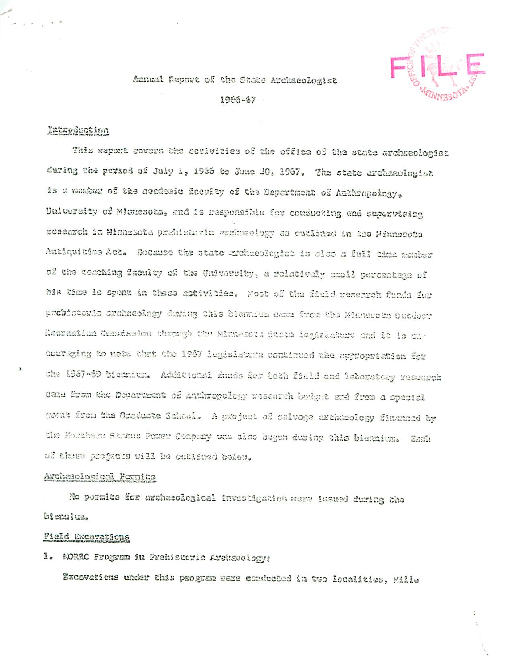## Annual Report of the State Archaeologist 1966-67

### Introduction

This report covers the sotivities of the office of the state archaeologist during the period of July 1, 1966 to June 30, 1967. The state archaeologist is a manter of the academic faculty of the Department of Anthropology, University of Minnesota, and is responsible for conducting and supervising research in Minnesota prehistoria archaeology as outlined in the Minnesota Antiquities Act. Because the state sreheeplegist is also a full time member of the tesching faculty of the University, a relatively small percentage of his time is spent in these activities. Most of the field reserveh funds for prebistorio archaeology during this biennium case from the Minusupts Outdoor Recreation Compission through the Minnesota State legislature and it is ancouraging to note that the 1987 legislatura continued the opproprietion for the 1987-69 biennium. Additional funds for both field and leboratory research came from the Department of Anthropology wasearch budget and from a special grant from the Graduate School. A project of salvoge archaeology financed by the Morthern States Power Company was also begun during this biennium. Hach of these projects will be outlined below.

#### Archezologigel Permits

No permits for archaeological investigation were issued during the biennium.

#### Field Excavations

1. MORRC Program in Prehistoric Archaeology:

Excavations under this program were conducted in two localities, Mille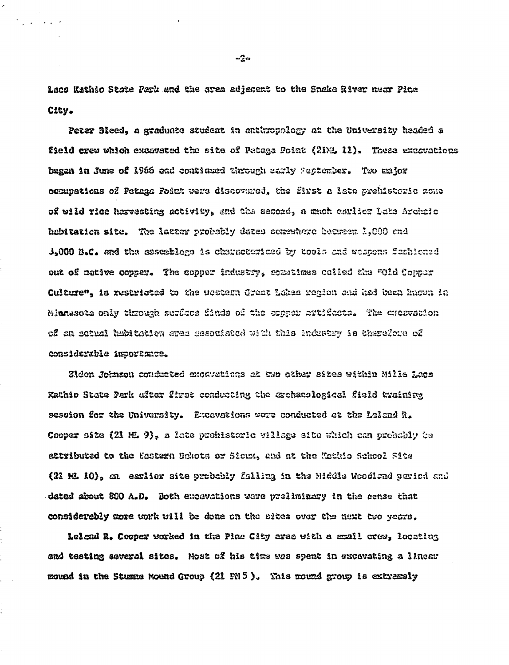Leos Kathio Słate Park and the srea adjacent to the Snake River near Pine City.

Peter Bleed, a graduate student in anthropology at the University headed a field crew which excavated the site of Petage Point (21ML 11). These excavations began in June of 1966 and continued through sarly Peptember. Two major occupations of Petaga Foiat were discovared, the flyst a late prehistoric zone of wild rice hervesting activity, and the second, a much carlier Late Archaic hebitation site. The latter probably dates somewhere betreen 1,000 and J.000 B.C. and the assesblage is characterized by tools and waspons featlened out of mative copper. The copper industry, sometimes called the "Old Copper Culture", is restricted to the western Great Lakes region and had been known in Mianasota only through surface finds of the copper artifacts. The creavation of an sotual habitation area mesouisted with this industry is therefore of considerable importance.

Eiden Johnson conducted expavations at two sther sites within Mills Lacs Kathio State Park ufter first conducting the archaeslogical field training session for the University. Excavations were conducted et the Leiand R. Cooper site (21 ML 9), a late prehistoric village site which can probably be attributed to the Eastern Dekots or Slows, and at the Kathio School Site (21 ML 10), an esslier site probably falling in the Middle Woodland period and dated about 800 A.D. Both excavations were preliminary in the sense that considerably more work will be done on the sites over the next two years.

Lelond R. Cooper worked in the Pine City area with a small crow, locating and testing several sites. Most of his time was spent in excavating a linemy mound in the Stumme Mound Group (21 PN 5). This mound group is extremely

 $-2a$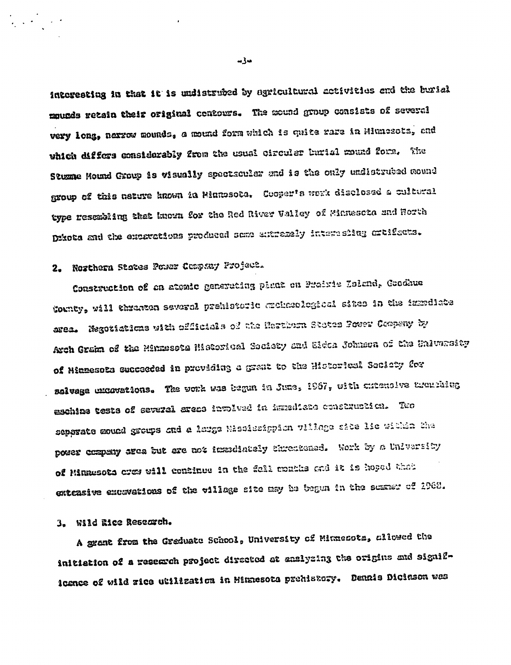interesting in that it is undistrubed by agricultural activities and the burial mounds retain their original contours. The mound group consists of several very long, narrow mounds, a mound form which is quite rare in Minnesotz, and which differs considerably from the usual circuler burial mound form. The Stumme Mound Group is wisually spectsculer and is the only undistrubed mound group of this nature known in Minnesota. Cooper's work disclosed a cultural type resembling that known for the Red River Valley of Minuscta and Horth Ditota and the excavations produced some extramely interesing ortifacts.

# 2. Nozthern States Power Company Project.

Construction of en atemic generating plant on Prairie Loland, Condhue County, will thrasten several prehistoric auchaeological sites in the izmediate area. Negotiations with officials of the Harthern States Power Compeny by Arch Graim of the Minnesota Historical Society and Elden Johnson of the University of Minnesota succeeded in previding a grant to the Historical Seciety for selvage uncovations. The vork was begun in June, 1967, with chienoive tremphing eschiae teste of several areae involved in immediate construction. Two separate mound groups and a large Mississippion village site lie within the power company area but are not immediately threatened. Work by a University of Minnesota cres will continue in the fall months and it is hoped that extensive excavations of the village site may be begun in the scamer of 1968.

## 3. Wild Eice Research.

A grant from the Greduate School, University of Minnesots, allowed the initiation of a research project directed at anslyzing the origins and significance of wild zice utilization in Minnesota prehistory. Dennis Dicinson was

مەكمە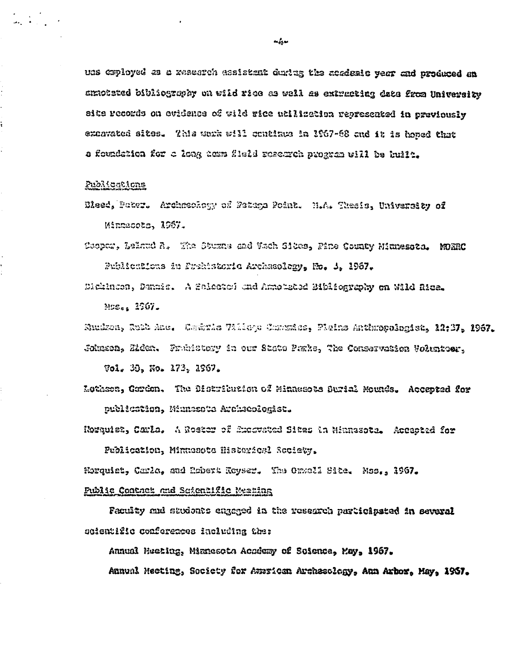ues caployed as a research assistant during the acedesis year and produced an annobeted bibliography on wild rice as well as extracting data from University site records on evidence of wild rice utilizetion represeated in previously exnavated sites. This work will continue in 1967-68 and it is homed that a foundation for a long hom fleld resemen program will be built.

#### Publications

÷,

- Eleed, Pater. Archaeology of Fetega Point. N.A. Thesis, University of Minnacots, 1967.
- Coopar, Leiand A. The Sturns and Wach Sites, Pine County Minnessta. MORRO Publications in Frehistoric Archaeology, No. 1, 1967.

Dickinson, Danais. A Selected and Annotated Bibliography on Wild Rice. Mos., 2967.

Sundron, Ruth Ane. Centris Villege Contains, Plains Anthropologist, 12:37, 1967. Johnson, Elden. Frahistory in our State Parks, The Conservation Volunteer.

 $\sqrt{501}$ . 30. No. 173. 1967.

Lothson, Cordon. The Distribution of Minnesots Surial Mounds. Accepted for publication, Minnasota Archaeologist.

Rosauist, Carla, A Roster of Excovated Sites in Minnesota. Accaoted for

Publication, Minussota Historicsl Society.

Norquist, Carla, and Esbert Reyser. The Onwall Site. Mss., 1967.

### Public Contact and Scientific Meating

Faculty and students engaged in the research participated in sevaral scientific conferences including the:

Annual Meeting, Mianesota Academy of Soience, Kay, 1967.

Annual Mecting, Society for Amrican Archasology, Aun Arbor, May, 1967.